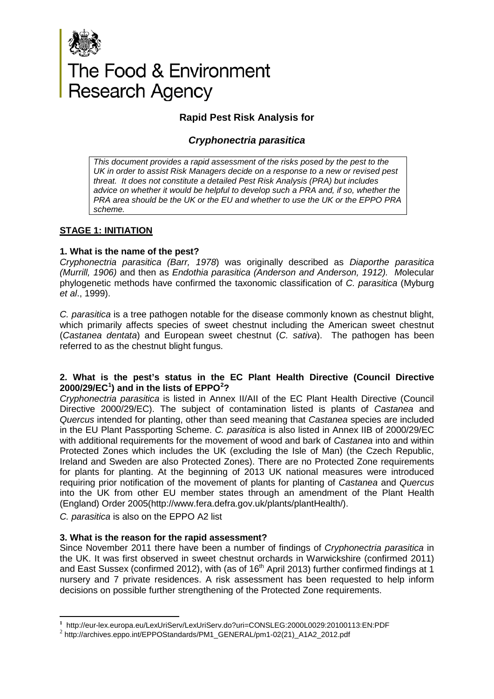

# The Food & Environment<br>Research Agency

# **Rapid Pest Risk Analysis for**

## *Cryphonectria parasitica*

*This document provides a rapid assessment of the risks posed by the pest to the UK in order to assist Risk Managers decide on a response to a new or revised pest threat. It does not constitute a detailed Pest Risk Analysis (PRA) but includes*  advice on whether it would be helpful to develop such a PRA and, if so, whether the *PRA area should be the UK or the EU and whether to use the UK or the EPPO PRA scheme.* 

## **STAGE 1: INITIATION**

## **1. What is the name of the pest?**

*Cryphonectria parasitica (Barr, 1978*) was originally described as *Diaporthe parasitica (Murrill, 1906)* and then as *Endothia parasitica (Anderson and Anderson, 1912). M*olecular phylogenetic methods have confirmed the taxonomic classification of *C. parasitica* (Myburg *et al*., 1999).

*C. parasitica* is a tree pathogen notable for the disease commonly known as chestnut blight, which primarily affects species of sweet chestnut including the American sweet chestnut (*Castanea dentata*) and European sweet chestnut (*C. sativa*). The pathogen has been referred to as the chestnut blight fungus.

## **2. What is the pest's status in the EC Plant Health Directive (Council Directive 2000/29/EC[1](#page-0-0) ) and in the lists of EPPO[2](#page-0-1) ?**

*Cryphonectria parasitica* is listed in Annex II/AII of the EC Plant Health Directive (Council Directive 2000/29/EC). The subject of contamination listed is plants of *Castanea* and *Quercus* intended for planting, other than seed meaning that *Castanea* species are included in the EU Plant Passporting Scheme. *C. parasitica* is also listed in Annex IIB of 2000/29/EC with additional requirements for the movement of wood and bark of *Castanea* into and within Protected Zones which includes the UK (excluding the Isle of Man) (the Czech Republic, Ireland and Sweden are also Protected Zones). There are no Protected Zone requirements for plants for planting. At the beginning of 2013 UK national measures were introduced requiring prior notification of the movement of plants for planting of *Castanea* and *Quercus* into the UK from other EU member states through an amendment of the Plant Health (England) Order 2005(http://www.fera.defra.gov.uk/plants/plantHealth/).

*C. parasitica* is also on the EPPO A2 list

<u>.</u>

## **3. What is the reason for the rapid assessment?**

Since November 2011 there have been a number of findings of *Cryphonectria parasitica* in the UK. It was first observed in sweet chestnut orchards in Warwickshire (confirmed 2011) and East Sussex (confirmed 2012), with (as of 16<sup>th</sup> April 2013) further confirmed findings at 1 nursery and 7 private residences. A risk assessment has been requested to help inform decisions on possible further strengthening of the Protected Zone requirements.

<span id="page-0-0"></span>**<sup>1</sup>** http://eur-lex.europa.eu/LexUriServ/LexUriServ.do?uri=CONSLEG:2000L0029:20100113:EN:PDF <sup>2</sup> http://archives.eppo.int/EPPOStandards/PM1\_GENERAL/pm1-02(21)\_A1A2\_2012.pdf

<span id="page-0-1"></span>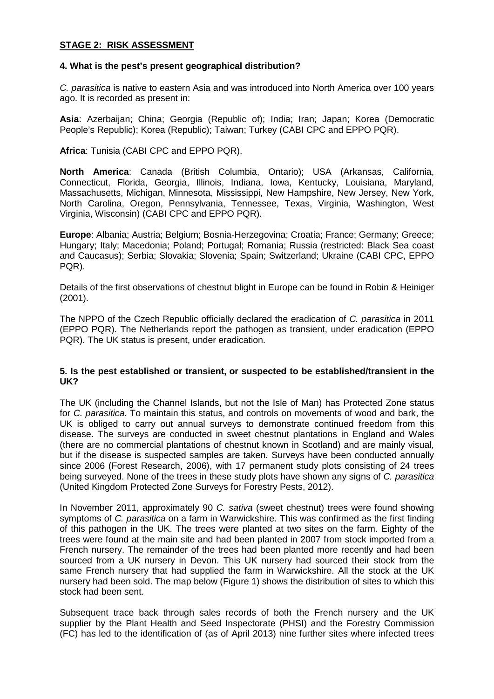## **STAGE 2: RISK ASSESSMENT**

#### **4. What is the pest's present geographical distribution?**

*C. parasitica* is native to eastern Asia and was introduced into North America over 100 years ago. It is recorded as present in:

**Asia**: Azerbaijan; China; Georgia (Republic of); India; Iran; Japan; Korea (Democratic People's Republic); Korea (Republic); Taiwan; Turkey (CABI CPC and EPPO PQR).

**Africa**: Tunisia (CABI CPC and EPPO PQR).

**North America**: Canada (British Columbia, Ontario); USA (Arkansas, California, Connecticut, Florida, Georgia, Illinois, Indiana, Iowa, Kentucky, Louisiana, Maryland, Massachusetts, Michigan, Minnesota, Mississippi, New Hampshire, New Jersey, New York, North Carolina, Oregon, Pennsylvania, Tennessee, Texas, Virginia, Washington, West Virginia, Wisconsin) (CABI CPC and EPPO PQR).

**Europe**: Albania; Austria; Belgium; Bosnia-Herzegovina; Croatia; France; Germany; Greece; Hungary; Italy; Macedonia; Poland; Portugal; Romania; Russia (restricted: Black Sea coast and Caucasus); Serbia; Slovakia; Slovenia; Spain; Switzerland; Ukraine (CABI CPC, EPPO PQR).

Details of the first observations of chestnut blight in Europe can be found in Robin & Heiniger (2001).

The NPPO of the Czech Republic officially declared the eradication of *C. parasitica* in 2011 (EPPO PQR). The Netherlands report the pathogen as transient, under eradication (EPPO PQR). The UK status is present, under eradication.

#### **5. Is the pest established or transient, or suspected to be established/transient in the UK?**

The UK (including the Channel Islands, but not the Isle of Man) has Protected Zone status for *C. parasitica*. To maintain this status, and controls on movements of wood and bark, the UK is obliged to carry out annual surveys to demonstrate continued freedom from this disease. The surveys are conducted in sweet chestnut plantations in England and Wales (there are no commercial plantations of chestnut known in Scotland) and are mainly visual, but if the disease is suspected samples are taken. Surveys have been conducted annually since 2006 (Forest Research, 2006), with 17 permanent study plots consisting of 24 trees being surveyed. None of the trees in these study plots have shown any signs of *C. parasitica* (United Kingdom Protected Zone Surveys for Forestry Pests, 2012).

In November 2011, approximately 90 *C. sativa* (sweet chestnut) trees were found showing symptoms of *C. parasitica* on a farm in Warwickshire. This was confirmed as the first finding of this pathogen in the UK. The trees were planted at two sites on the farm. Eighty of the trees were found at the main site and had been planted in 2007 from stock imported from a French nursery. The remainder of the trees had been planted more recently and had been sourced from a UK nursery in Devon. This UK nursery had sourced their stock from the same French nursery that had supplied the farm in Warwickshire. All the stock at the UK nursery had been sold. The map below (Figure 1) shows the distribution of sites to which this stock had been sent.

Subsequent trace back through sales records of both the French nursery and the UK supplier by the Plant Health and Seed Inspectorate (PHSI) and the Forestry Commission (FC) has led to the identification of (as of April 2013) nine further sites where infected trees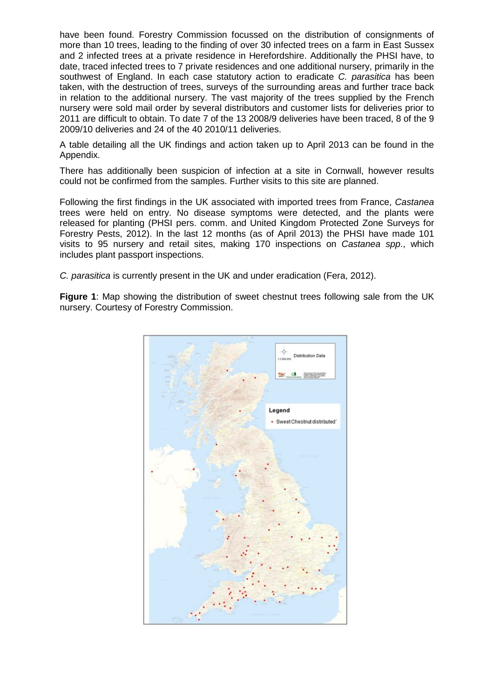have been found. Forestry Commission focussed on the distribution of consignments of more than 10 trees, leading to the finding of over 30 infected trees on a farm in East Sussex and 2 infected trees at a private residence in Herefordshire. Additionally the PHSI have, to date, traced infected trees to 7 private residences and one additional nursery, primarily in the southwest of England. In each case statutory action to eradicate *C. parasitica* has been taken, with the destruction of trees, surveys of the surrounding areas and further trace back in relation to the additional nursery. The vast majority of the trees supplied by the French nursery were sold mail order by several distributors and customer lists for deliveries prior to 2011 are difficult to obtain. To date 7 of the 13 2008/9 deliveries have been traced, 8 of the 9 2009/10 deliveries and 24 of the 40 2010/11 deliveries.

A table detailing all the UK findings and action taken up to April 2013 can be found in the Appendix.

There has additionally been suspicion of infection at a site in Cornwall, however results could not be confirmed from the samples. Further visits to this site are planned.

Following the first findings in the UK associated with imported trees from France, *Castanea* trees were held on entry. No disease symptoms were detected, and the plants were released for planting (PHSI pers. comm. and United Kingdom Protected Zone Surveys for Forestry Pests, 2012). In the last 12 months (as of April 2013) the PHSI have made 101 visits to 95 nursery and retail sites, making 170 inspections on *Castanea spp*., which includes plant passport inspections.

*C. parasitica* is currently present in the UK and under eradication (Fera, 2012).

**Figure 1**: Map showing the distribution of sweet chestnut trees following sale from the UK nursery. Courtesy of Forestry Commission.

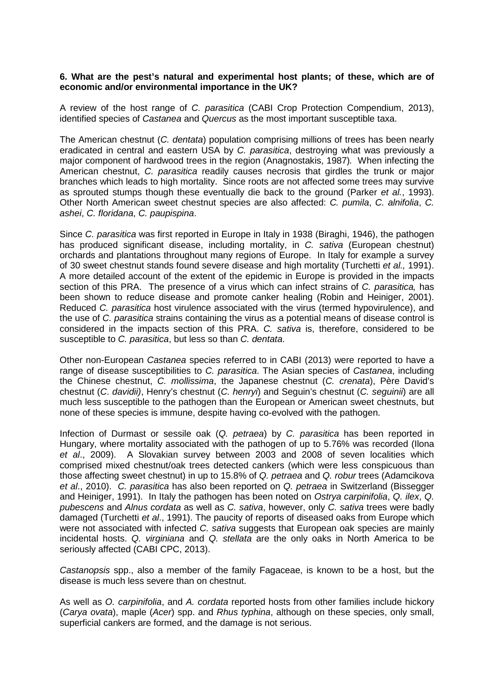#### **6. What are the pest's natural and experimental host plants; of these, which are of economic and/or environmental importance in the UK?**

A review of the host range of *C. parasitica* (CABI Crop Protection Compendium, 2013), identified species of *Castanea* and *Quercus* as the most important susceptible taxa.

The American chestnut (*C. dentata*) population comprising millions of trees has been nearly eradicated in central and eastern USA by *C. parasitica*, destroying what was previously a major component of hardwood trees in the region (Anagnostakis, 1987)*.* When infecting the American chestnut, *C. parasitica* readily causes necrosis that girdles the trunk or major branches which leads to high mortality. Since roots are not affected some trees may survive as sprouted stumps though these eventually die back to the ground (Parker *et al.*, 1993). Other North American sweet chestnut species are also affected: *C. pumila*, *C. alnifolia*, *C. ashei*, *C. floridana*, *C. paupispina*.

Since *C. parasitica* was first reported in Europe in Italy in 1938 (Biraghi, 1946), the pathogen has produced significant disease, including mortality, in *C. sativa* (European chestnut) orchards and plantations throughout many regions of Europe. In Italy for example a survey of 30 sweet chestnut stands found severe disease and high mortality (Turchetti *et al.,* 1991). A more detailed account of the extent of the epidemic in Europe is provided in the impacts section of this PRA. The presence of a virus which can infect strains of *C. parasitica,* has been shown to reduce disease and promote canker healing (Robin and Heiniger, 2001). Reduced *C. parasitica* host virulence associated with the virus (termed hypovirulence), and the use of *C. parasitica* strains containing the virus as a potential means of disease control is considered in the impacts section of this PRA. *C. sativa* is, therefore, considered to be susceptible to *C. parasitica*, but less so than *C. dentata*.

Other non-European *Castanea* species referred to in CABI (2013) were reported to have a range of disease susceptibilities to *C. parasitica*. The Asian species of *Castanea*, including the Chinese chestnut, *C. mollissima*, the Japanese chestnut (*C. crenata*), Père David's chestnut (*C*. *davidii)*, Henry's chestnut (*C. henryi*) and Seguin's chestnut (*C. seguinii*) are all much less susceptible to the pathogen than the European or American sweet chestnuts, but none of these species is immune, despite having co-evolved with the pathogen.

Infection of Durmast or sessile oak (*Q. petraea*) by *C. parasitica* has been reported in Hungary, where mortality associated with the pathogen of up to 5.76% was recorded (Ilona *et al*., 2009). A Slovakian survey between 2003 and 2008 of seven localities which comprised mixed chestnut/oak trees detected cankers (which were less conspicuous than those affecting sweet chestnut) in up to 15.8% of *Q. petraea* and *Q. robur* trees (Adamcikova *et al*., 2010). *C. parasitica* has also been reported on *Q. petraea* in Switzerland (Bissegger and Heiniger, 1991). In Italy the pathogen has been noted on *Ostrya carpinifolia*, *Q. ilex*, *Q. pubescens* and *Alnus cordata* as well as *C. sativa*, however, only *C. sativa* trees were badly damaged (Turchetti *et al*., 1991). The paucity of reports of diseased oaks from Europe which were not associated with infected *C. sativa* suggests that European oak species are mainly incidental hosts. *Q. virginiana* and *Q. stellata* are the only oaks in North America to be seriously affected (CABI CPC, 2013).

*Castanopsis* spp., also a member of the family Fagaceae, is known to be a host, but the disease is much less severe than on chestnut.

As well as *O. carpinifolia*, and *A. cordata* reported hosts from other families include hickory (*Carya ovata*), maple (*Acer*) spp. and *Rhus typhina*, although on these species, only small, superficial cankers are formed, and the damage is not serious.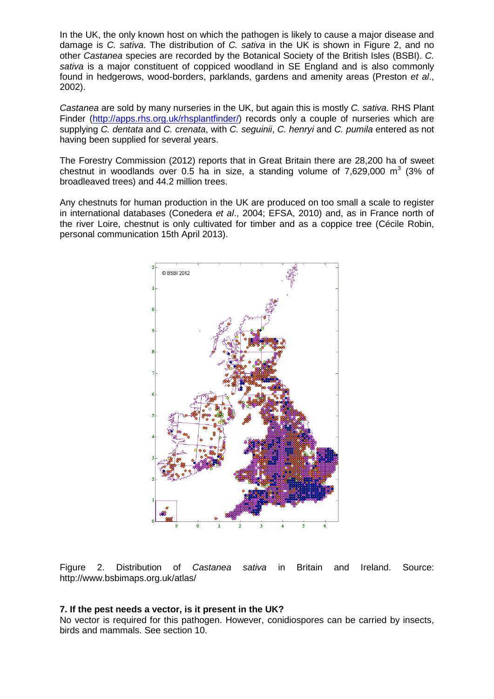In the UK, the only known host on which the pathogen is likely to cause a major disease and damage is *C. sativa*. The distribution of *C. sativa* in the UK is shown in Figure 2, and no other *Castanea* species are recorded by the Botanical Society of the British Isles (BSBI). *C. sativa* is a major constituent of coppiced woodland in SE England and is also commonly found in hedgerows, wood-borders, parklands, gardens and amenity areas (Preston *et al*., 2002).

*Castanea* are sold by many nurseries in the UK, but again this is mostly *C. sativa*. RHS Plant Finder [\(http://apps.rhs.org.uk/rhsplantfinder/\)](http://apps.rhs.org.uk/rhsplantfinder/) records only a couple of nurseries which are supplying *C. dentata* and *C. crenata*, with *C. seguinii*, *C. henryi* and *C. pumila* entered as not having been supplied for several years.

The Forestry Commission (2012) reports that in Great Britain there are 28,200 ha of sweet chestnut in woodlands over 0.5 ha in size, a standing volume of  $7.629,000 \, \text{m}^3$  (3% of broadleaved trees) and 44.2 million trees.

Any chestnuts for human production in the UK are produced on too small a scale to register in international databases (Conedera *et al*., 2004; EFSA, 2010) and, as in France north of the river Loire, chestnut is only cultivated for timber and as a coppice tree (Cécile Robin, personal communication 15th April 2013).



Figure 2. Distribution of *Castanea sativa* in Britain and Ireland. Source: http://www.bsbimaps.org.uk/atlas/

#### **7. If the pest needs a vector, is it present in the UK?**

No vector is required for this pathogen. However, conidiospores can be carried by insects, birds and mammals. See section 10.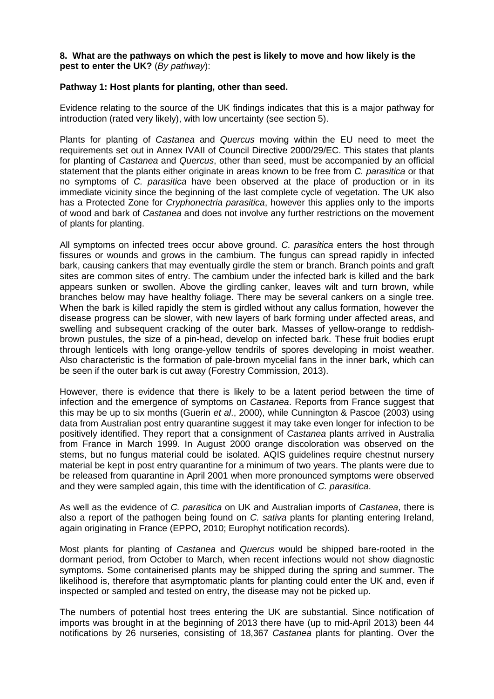#### **8. What are the pathways on which the pest is likely to move and how likely is the pest to enter the UK?** (*By pathway*):

#### **Pathway 1: Host plants for planting, other than seed.**

Evidence relating to the source of the UK findings indicates that this is a major pathway for introduction (rated very likely), with low uncertainty (see section 5).

Plants for planting of *Castanea* and *Quercus* moving within the EU need to meet the requirements set out in Annex IVAII of Council Directive 2000/29/EC. This states that plants for planting of *Castanea* and *Quercus*, other than seed, must be accompanied by an official statement that the plants either originate in areas known to be free from *C. parasitica* or that no symptoms of *C. parasitica* have been observed at the place of production or in its immediate vicinity since the beginning of the last complete cycle of vegetation. The UK also has a Protected Zone for *Cryphonectria parasitica*, however this applies only to the imports of wood and bark of *Castanea* and does not involve any further restrictions on the movement of plants for planting.

All symptoms on infected trees occur above ground. *C. parasitica* enters the host through fissures or wounds and grows in the cambium. The fungus can spread rapidly in infected bark, causing cankers that may eventually girdle the stem or branch. Branch points and graft sites are common sites of entry. The cambium under the infected bark is killed and the bark appears sunken or swollen. Above the girdling canker, leaves wilt and turn brown, while branches below may have healthy foliage. There may be several cankers on a single tree. When the bark is killed rapidly the stem is girdled without any callus formation, however the disease progress can be slower, with new layers of bark forming under affected areas, and swelling and subsequent cracking of the outer bark. Masses of yellow-orange to reddishbrown pustules, the size of a pin-head, develop on infected bark. These fruit bodies erupt through lenticels with long orange-yellow tendrils of spores developing in moist weather. Also characteristic is the formation of pale-brown mycelial fans in the inner bark, which can be seen if the outer bark is cut away (Forestry Commission, 2013).

However, there is evidence that there is likely to be a latent period between the time of infection and the emergence of symptoms on *Castanea*. Reports from France suggest that this may be up to six months (Guerin *et al*., 2000), while Cunnington & Pascoe (2003) using data from Australian post entry quarantine suggest it may take even longer for infection to be positively identified. They report that a consignment of *Castanea* plants arrived in Australia from France in March 1999. In August 2000 orange discoloration was observed on the stems, but no fungus material could be isolated. AQIS guidelines require chestnut nursery material be kept in post entry quarantine for a minimum of two years. The plants were due to be released from quarantine in April 2001 when more pronounced symptoms were observed and they were sampled again, this time with the identification of *C. parasitica*.

As well as the evidence of *C. parasitica* on UK and Australian imports of *Castanea*, there is also a report of the pathogen being found on *C. sativa* plants for planting entering Ireland, again originating in France (EPPO, 2010; Europhyt notification records).

Most plants for planting of *Castanea* and *Quercus* would be shipped bare-rooted in the dormant period, from October to March, when recent infections would not show diagnostic symptoms. Some containerised plants may be shipped during the spring and summer. The likelihood is, therefore that asymptomatic plants for planting could enter the UK and, even if inspected or sampled and tested on entry, the disease may not be picked up.

The numbers of potential host trees entering the UK are substantial. Since notification of imports was brought in at the beginning of 2013 there have (up to mid-April 2013) been 44 notifications by 26 nurseries, consisting of 18,367 *Castanea* plants for planting. Over the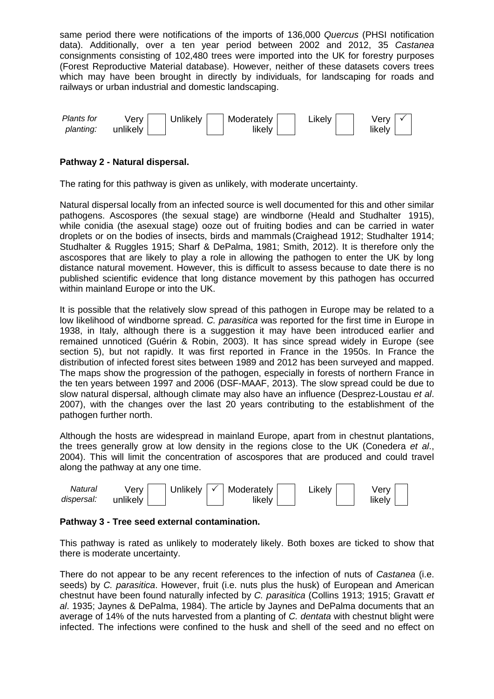same period there were notifications of the imports of 136,000 *Quercus* (PHSI notification data). Additionally, over a ten year period between 2002 and 2012, 35 *Castanea* consignments consisting of 102,480 trees were imported into the UK for forestry purposes (Forest Reproductive Material database). However, neither of these datasets covers trees which may have been brought in directly by individuals, for landscaping for roads and railways or urban industrial and domestic landscaping.



## **Pathway 2 - Natural dispersal.**

The rating for this pathway is given as unlikely, with moderate uncertainty.

Natural dispersal locally from an infected source is well documented for this and other similar pathogens. Ascospores (the sexual stage) are windborne (Heald and Studhalter 1915), while conidia (the asexual stage) ooze out of fruiting bodies and can be carried in water droplets or on the bodies of insects, birds and mammals (Craighead 1912; Studhalter 1914; Studhalter & Ruggles 1915; Sharf & DePalma, 1981; Smith, 2012). It is therefore only the ascospores that are likely to play a role in allowing the pathogen to enter the UK by long distance natural movement. However, this is difficult to assess because to date there is no published scientific evidence that long distance movement by this pathogen has occurred within mainland Europe or into the UK.

It is possible that the relatively slow spread of this pathogen in Europe may be related to a low likelihood of windborne spread. *C. parasitica* was reported for the first time in Europe in 1938, in Italy, although there is a suggestion it may have been introduced earlier and remained unnoticed (Guérin & Robin, 2003). It has since spread widely in Europe (see section 5), but not rapidly. It was first reported in France in the 1950s. In France the distribution of infected forest sites between 1989 and 2012 has been surveyed and mapped. The maps show the progression of the pathogen, especially in forests of northern France in the ten years between 1997 and 2006 (DSF-MAAF, 2013). The slow spread could be due to slow natural dispersal, although climate may also have an influence (Desprez-Loustau *et al*. 2007), with the changes over the last 20 years contributing to the establishment of the pathogen further north.

Although the hosts are widespread in mainland Europe, apart from in chestnut plantations, the trees generally grow at low density in the regions close to the UK (Conedera *et al*., 2004). This will limit the concentration of ascospores that are produced and could travel along the pathway at any one time.



#### **Pathway 3 - Tree seed external contamination.**

This pathway is rated as unlikely to moderately likely. Both boxes are ticked to show that there is moderate uncertainty.

There do not appear to be any recent references to the infection of nuts of *Castanea* (i.e. seeds) by *C. parasitica*. However, fruit (i.e. nuts plus the husk) of European and American chestnut have been found naturally infected by *C. parasitica* (Collins 1913; 1915; Gravatt *et al*. 1935; Jaynes & DePalma, 1984). The article by Jaynes and DePalma documents that an average of 14% of the nuts harvested from a planting of *C. dentata* with chestnut blight were infected. The infections were confined to the husk and shell of the seed and no effect on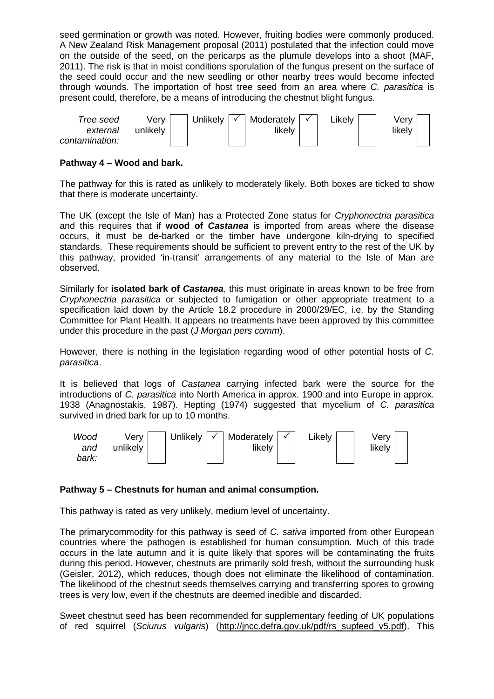seed germination or growth was noted. However, fruiting bodies were commonly produced. A New Zealand Risk Management proposal (2011) postulated that the infection could move on the outside of the seed, on the pericarps as the plumule develops into a shoot (MAF, 2011). The risk is that in moist conditions sporulation of the fungus present on the surface of the seed could occur and the new seedling or other nearby trees would become infected through wounds. The importation of host tree seed from an area where *C. parasitica* is present could, therefore, be a means of introducing the chestnut blight fungus.



## **Pathway 4 – Wood and bark.**

The pathway for this is rated as unlikely to moderately likely. Both boxes are ticked to show that there is moderate uncertainty.

The UK (except the Isle of Man) has a Protected Zone status for *Cryphonectria parasitica* and this requires that if **wood of** *Castanea* is imported from areas where the disease occurs, it must be de-barked or the timber have undergone kiln-drying to specified standards. These requirements should be sufficient to prevent entry to the rest of the UK by this pathway, provided 'in-transit' arrangements of any material to the Isle of Man are observed.

Similarly for **isolated bark of** *Castanea,* this must originate in areas known to be free from *Cryphonectria parasitica* or subjected to fumigation or other appropriate treatment to a specification laid down by the Article 18.2 procedure in 2000/29/EC, i.e. by the Standing Committee for Plant Health. It appears no treatments have been approved by this committee under this procedure in the past (*J Morgan pers comm*).

However, there is nothing in the legislation regarding wood of other potential hosts of *C. parasitica*.

It is believed that logs of *Castanea* carrying infected bark were the source for the introductions of *C. parasitica* into North America in approx. 1900 and into Europe in approx. 1938 (Anagnostakis, 1987). Hepting (1974) suggested that mycelium of *C. parasitica*  survived in dried bark for up to 10 months.



## **Pathway 5 – Chestnuts for human and animal consumption.**

This pathway is rated as very unlikely, medium level of uncertainty.

The primarycommodity for this pathway is seed of *C. sativa* imported from other European countries where the pathogen is established for human consumption*.* Much of this trade occurs in the late autumn and it is quite likely that spores will be contaminating the fruits during this period. However, chestnuts are primarily sold fresh, without the surrounding husk (Geisler, 2012), which reduces, though does not eliminate the likelihood of contamination. The likelihood of the chestnut seeds themselves carrying and transferring spores to growing trees is very low, even if the chestnuts are deemed inedible and discarded.

Sweet chestnut seed has been recommended for supplementary feeding of UK populations of red squirrel (*Sciurus vulgaris*) [\(http://jncc.defra.gov.uk/pdf/rs\\_supfeed\\_v5.pdf\)](http://jncc.defra.gov.uk/pdf/rs_supfeed_v5.pdf). This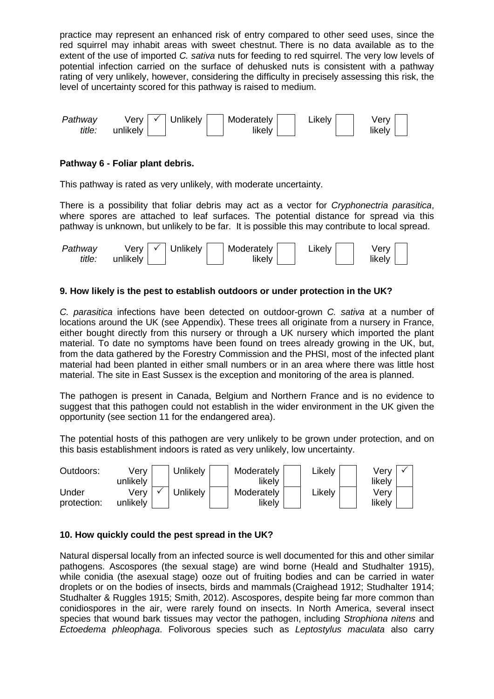practice may represent an enhanced risk of entry compared to other seed uses, since the red squirrel may inhabit areas with sweet chestnut. There is no data available as to the extent of the use of imported *C. sativa* nuts for feeding to red squirrel. The very low levels of potential infection carried on the surface of dehusked nuts is consistent with a pathway rating of very unlikely, however, considering the difficulty in precisely assessing this risk, the level of uncertainty scored for this pathway is raised to medium.



## **Pathway 6 - Foliar plant debris.**

This pathway is rated as very unlikely, with moderate uncertainty.

There is a possibility that foliar debris may act as a vector for *Cryphonectria parasitica*, where spores are attached to leaf surfaces. The potential distance for spread via this pathway is unknown, but unlikely to be far. It is possible this may contribute to local spread.

| Pathway | Verv I   | $\checkmark$ | <sup>I</sup> Unlikely | Moderately | ∟ikelv | Verv   |
|---------|----------|--------------|-----------------------|------------|--------|--------|
| title:  | unlikely |              |                       | likelv     |        | likelv |

## **9. How likely is the pest to establish outdoors or under protection in the UK?**

*C. parasitica* infections have been detected on outdoor-grown *C. sativa* at a number of locations around the UK (see Appendix). These trees all originate from a nursery in France, either bought directly from this nursery or through a UK nursery which imported the plant material. To date no symptoms have been found on trees already growing in the UK, but, from the data gathered by the Forestry Commission and the PHSI, most of the infected plant material had been planted in either small numbers or in an area where there was little host material. The site in East Sussex is the exception and monitoring of the area is planned.

The pathogen is present in Canada, Belgium and Northern France and is no evidence to suggest that this pathogen could not establish in the wider environment in the UK given the opportunity (see section 11 for the endangered area).

The potential hosts of this pathogen are very unlikely to be grown under protection, and on this basis establishment indoors is rated as very unlikely, low uncertainty.



## **10. How quickly could the pest spread in the UK?**

Natural dispersal locally from an infected source is well documented for this and other similar pathogens. Ascospores (the sexual stage) are wind borne (Heald and Studhalter 1915), while conidia (the asexual stage) ooze out of fruiting bodies and can be carried in water droplets or on the bodies of insects, birds and mammals (Craighead 1912; Studhalter 1914; Studhalter & Ruggles 1915; Smith, 2012). Ascospores, despite being far more common than conidiospores in the air, were rarely found on insects. In North America, several insect species that wound bark tissues may vector the pathogen, including *Strophiona nitens* and *Ectoedema phleophaga*. Folivorous species such as *Leptostylus maculata* also carry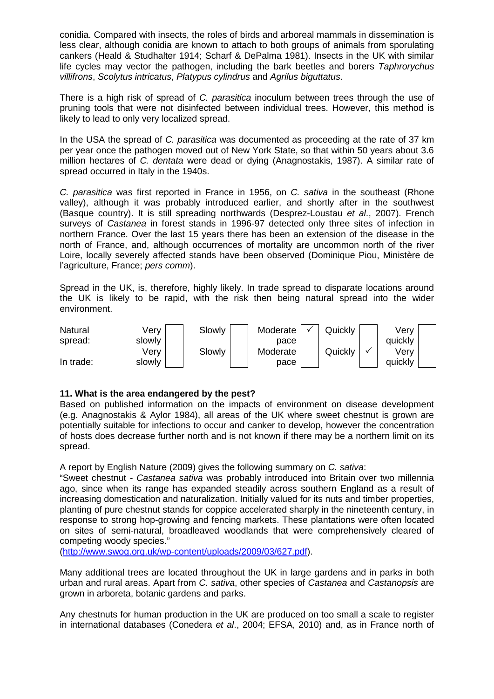conidia. Compared with insects, the roles of birds and arboreal mammals in dissemination is less clear, although conidia are known to attach to both groups of animals from sporulating cankers (Heald & Studhalter 1914; Scharf & DePalma 1981). Insects in the UK with similar life cycles may vector the pathogen, including the bark beetles and borers *Taphrorychus villifrons*, *Scolytus intricatus*, *Platypus cylindrus* and *Agrilus biguttatus*.

There is a high risk of spread of *C. parasitica* inoculum between trees through the use of pruning tools that were not disinfected between individual trees. However, this method is likely to lead to only very localized spread.

In the USA the spread of *C. parasitica* was documented as proceeding at the rate of 37 km per year once the pathogen moved out of New York State, so that within 50 years about 3.6 million hectares of *C. dentata* were dead or dying (Anagnostakis, 1987). A similar rate of spread occurred in Italy in the 1940s.

*C. parasitica* was first reported in France in 1956, on *C. sativa* in the southeast (Rhone valley), although it was probably introduced earlier, and shortly after in the southwest (Basque country). It is still spreading northwards (Desprez-Loustau *et al*., 2007). French surveys of *Castanea* in forest stands in 1996-97 detected only three sites of infection in northern France. Over the last 15 years there has been an extension of the disease in the north of France, and, although occurrences of mortality are uncommon north of the river Loire, locally severely affected stands have been observed (Dominique Piou, Ministère de l'agriculture, France; *pers comm*).

Spread in the UK, is, therefore, highly likely. In trade spread to disparate locations around the UK is likely to be rapid, with the risk then being natural spread into the wider environment.



## **11. What is the area endangered by the pest?**

Based on published information on the impacts of environment on disease development (e.g. Anagnostakis & Aylor 1984), all areas of the UK where sweet chestnut is grown are potentially suitable for infections to occur and canker to develop, however the concentration of hosts does decrease further north and is not known if there may be a northern limit on its spread.

A report by English Nature (2009) gives the following summary on *C. sativa*:

"Sweet chestnut - *Castanea sativa* was probably introduced into Britain over two millennia ago, since when its range has expanded steadily across southern England as a result of increasing domestication and naturalization. Initially valued for its nuts and timber properties, planting of pure chestnut stands for coppice accelerated sharply in the nineteenth century, in response to strong hop-growing and fencing markets. These plantations were often located on sites of semi-natural, broadleaved woodlands that were comprehensively cleared of competing woody species."

[\(http://www.swog.org.uk/wp-content/uploads/2009/03/627.pdf\)](http://www.swog.org.uk/wp-content/uploads/2009/03/627.pdf).

Many additional trees are located throughout the UK in large gardens and in parks in both urban and rural areas. Apart from *C. sativa*, other species of *Castanea* and *Castanopsis* are grown in arboreta, botanic gardens and parks.

Any chestnuts for human production in the UK are produced on too small a scale to register in international databases (Conedera *et al*., 2004; EFSA, 2010) and, as in France north of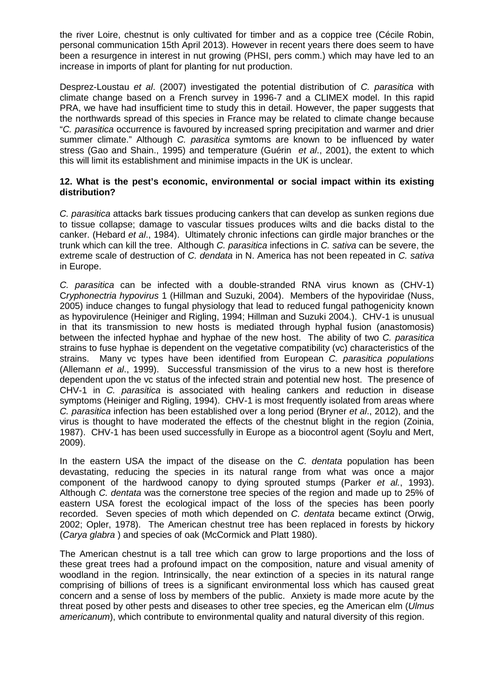the river Loire, chestnut is only cultivated for timber and as a coppice tree (Cécile Robin, personal communication 15th April 2013). However in recent years there does seem to have been a resurgence in interest in nut growing (PHSI, pers comm.) which may have led to an increase in imports of plant for planting for nut production.

Desprez-Loustau *et al*. (2007) investigated the potential distribution of *C. parasitica* with climate change based on a French survey in 1996-7 and a CLIMEX model. In this rapid PRA, we have had insufficient time to study this in detail. However, the paper suggests that the northwards spread of this species in France may be related to climate change because "*C. parasitica* occurrence is favoured by increased spring precipitation and warmer and drier summer climate." Although *C. parasitica* symtoms are known to be influenced by water stress (Gao and Shain., 1995) and temperature (Guérin *et al*., 2001), the extent to which this will limit its establishment and minimise impacts in the UK is unclear.

## **12. What is the pest's economic, environmental or social impact within its existing distribution?**

*C. parasitica* attacks bark tissues producing cankers that can develop as sunken regions due to tissue collapse; damage to vascular tissues produces wilts and die backs distal to the canker. (Hebard *et al*., 1984). Ultimately chronic infections can girdle major branches or the trunk which can kill the tree. Although *C. parasitica* infections in *C. sativa* can be severe, the extreme scale of destruction of *C. dendata* in N. America has not been repeated in *C. sativa* in Europe.

*C. parasitica* can be infected with a double-stranded RNA virus known as (CHV-1) C*ryphonectria hypovirus* 1 (Hillman and Suzuki, 2004). Members of the hypoviridae (Nuss, 2005) induce changes to fungal physiology that lead to reduced fungal pathogenicity known as hypovirulence (Heiniger and Rigling, 1994; Hillman and Suzuki 2004.). CHV-1 is unusual in that its transmission to new hosts is mediated through hyphal fusion (anastomosis) between the infected hyphae and hyphae of the new host. The ability of two *C. parasitica* strains to fuse hyphae is dependent on the vegetative compatibility (vc) characteristics of the strains. Many vc types have been identified from European *C. parasitica populations*  (Allemann *et al*., 1999). Successful transmission of the virus to a new host is therefore dependent upon the vc status of the infected strain and potential new host. The presence of CHV-1 in *C. parasitica* is associated with healing cankers and reduction in disease symptoms (Heiniger and Rigling, 1994). CHV-1 is most frequently isolated from areas where *C. parasitica* infection has been established over a long period (Bryner *et al*., 2012), and the virus is thought to have moderated the effects of the chestnut blight in the region (Zoinia, 1987). CHV-1 has been used successfully in Europe as a biocontrol agent (Soylu and Mert, 2009).

In the eastern USA the impact of the disease on the *C. dentata* population has been devastating, reducing the species in its natural range from what was once a major component of the hardwood canopy to dying sprouted stumps (Parker *et al.*, 1993). Although *C. dentata* was the cornerstone tree species of the region and made up to 25% of eastern USA forest the ecological impact of the loss of the species has been poorly recorded. Seven species of moth which depended on *C. dentata* became extinct (Orwig, 2002; Opler, 1978). The American chestnut tree has been replaced in forests by hickory (*Carya glabra* ) and species of oak (McCormick and Platt 1980).

The American chestnut is a tall tree which can grow to large proportions and the loss of these great trees had a profound impact on the composition, nature and visual amenity of woodland in the region. Intrinsically, the near extinction of a species in its natural range comprising of billions of trees is a significant environmental loss which has caused great concern and a sense of loss by members of the public. Anxiety is made more acute by the threat posed by other pests and diseases to other tree species, eg the American elm (*Ulmus americanum*), which contribute to environmental quality and natural diversity of this region.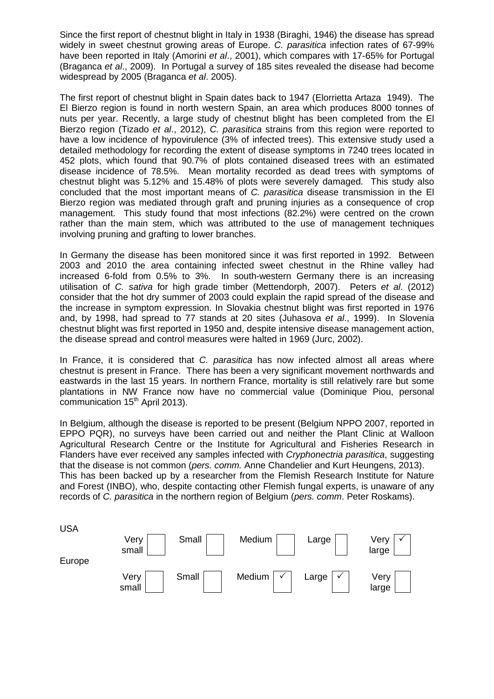Since the first report of chestnut blight in Italy in 1938 (Biraghi, 1946) the disease has spread widely in sweet chestnut growing areas of Europe. *C. parasitica* infection rates of 67-99% have been reported in Italy (Amorini *et al*., 2001), which compares with 17-65% for Portugal (Braganca *et al*., 2009). In Portugal a survey of 185 sites revealed the disease had become widespread by 2005 (Braganca *et al*. 2005).

The first report of chestnut blight in Spain dates back to 1947 (Elorrietta Artaza 1949). The El Bierzo region is found in north western Spain, an area which produces 8000 tonnes of nuts per year. Recently, a large study of chestnut blight has been completed from the El Bierzo region (Tizado *et al*., 2012), *C. parasitica* strains from this region were reported to have a low incidence of hypovirulence (3% of infected trees). This extensive study used a detailed methodology for recording the extent of disease symptoms in 7240 trees located in 452 plots, which found that 90.7% of plots contained diseased trees with an estimated disease incidence of 78.5%. Mean mortality recorded as dead trees with symptoms of chestnut blight was 5.12% and 15.48% of plots were severely damaged. This study also concluded that the most important means of *C. parasitica* disease transmission in the El Bierzo region was mediated through graft and pruning injuries as a consequence of crop management. This study found that most infections (82.2%) were centred on the crown rather than the main stem, which was attributed to the use of management techniques involving pruning and grafting to lower branches.

In Germany the disease has been monitored since it was first reported in 1992. Between 2003 and 2010 the area containing infected sweet chestnut in the Rhine valley had increased 6-fold from 0.5% to 3%. In south-western Germany there is an increasing utilisation of *C. sativa* for high grade timber (Mettendorph, 2007). Peters *et al*. (2012) consider that the hot dry summer of 2003 could explain the rapid spread of the disease and the increase in symptom expression. In Slovakia chestnut blight was first reported in 1976 and, by 1998, had spread to 77 stands at 20 sites (Juhasova *et al*., 1999). In Slovenia chestnut blight was first reported in 1950 and, despite intensive disease management action, the disease spread and control measures were halted in 1969 (Jurc, 2002).

In France, it is considered that *C. parasitica* has now infected almost all areas where chestnut is present in France. There has been a very significant movement northwards and eastwards in the last 15 years. In northern France, mortality is still relatively rare but some plantations in NW France now have no commercial value (Dominique Piou, personal communication  $15<sup>th</sup>$  April 2013).

In Belgium, although the disease is reported to be present (Belgium NPPO 2007, reported in EPPO PQR), no surveys have been carried out and neither the Plant Clinic at Walloon Agricultural Research Centre or the Institute for Agricultural and Fisheries Research in Flanders have ever received any samples infected with *Cryphonectria parasitica*, suggesting that the disease is not common (*pers. comm.* Anne Chandelier and Kurt Heungens, 2013). This has been backed up by a researcher from the Flemish Research Institute for Nature and Forest (INBO), who, despite contacting other Flemish fungal experts, is unaware of any records of *C. parasitica* in the northern region of Belgium (*pers. comm*. Peter Roskams).

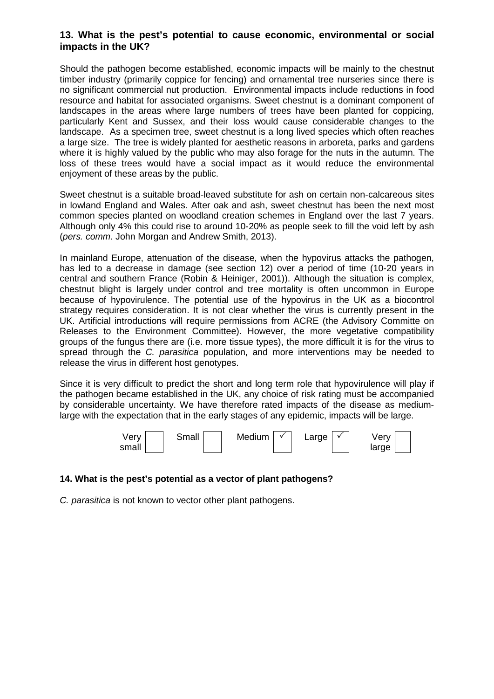## **13. What is the pest's potential to cause economic, environmental or social impacts in the UK?**

Should the pathogen become established, economic impacts will be mainly to the chestnut timber industry (primarily coppice for fencing) and ornamental tree nurseries since there is no significant commercial nut production. Environmental impacts include reductions in food resource and habitat for associated organisms. Sweet chestnut is a dominant component of landscapes in the areas where large numbers of trees have been planted for coppicing, particularly Kent and Sussex, and their loss would cause considerable changes to the landscape. As a specimen tree, sweet chestnut is a long lived species which often reaches a large size. The tree is widely planted for aesthetic reasons in arboreta, parks and gardens where it is highly valued by the public who may also forage for the nuts in the autumn. The loss of these trees would have a social impact as it would reduce the environmental enjoyment of these areas by the public.

Sweet chestnut is a suitable broad-leaved substitute for ash on certain non-calcareous sites in lowland England and Wales. After oak and ash, sweet chestnut has been the next most common species planted on woodland creation schemes in England over the last 7 years. Although only 4% this could rise to around 10-20% as people seek to fill the void left by ash (*pers. comm.* John Morgan and Andrew Smith, 2013).

In mainland Europe, attenuation of the disease, when the hypovirus attacks the pathogen, has led to a decrease in damage (see section 12) over a period of time (10-20 years in central and southern France (Robin & Heiniger, 2001)). Although the situation is complex, chestnut blight is largely under control and tree mortality is often uncommon in Europe because of hypovirulence. The potential use of the hypovirus in the UK as a biocontrol strategy requires consideration. It is not clear whether the virus is currently present in the UK. Artificial introductions will require permissions from ACRE (the Advisory Committe on Releases to the Environment Committee). However, the more vegetative compatibility groups of the fungus there are (i.e. more tissue types), the more difficult it is for the virus to spread through the *C. parasitica* population, and more interventions may be needed to release the virus in different host genotypes.

Since it is very difficult to predict the short and long term role that hypovirulence will play if the pathogen became established in the UK, any choice of risk rating must be accompanied by considerable uncertainty. We have therefore rated impacts of the disease as mediumlarge with the expectation that in the early stages of any epidemic, impacts will be large.



## **14. What is the pest's potential as a vector of plant pathogens?**

*C. parasitica* is not known to vector other plant pathogens.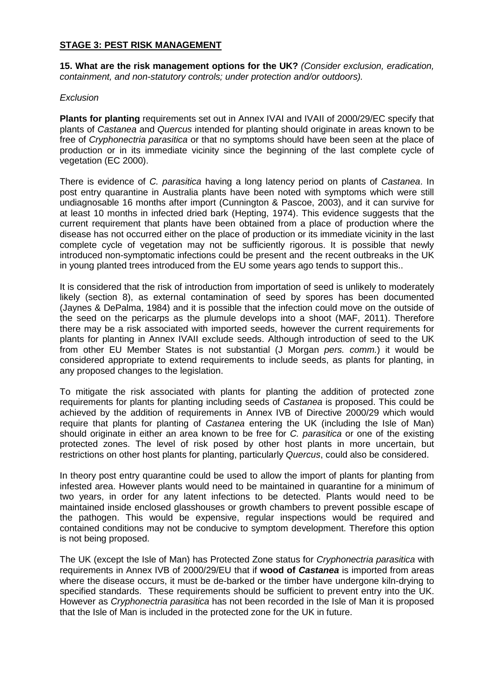#### **STAGE 3: PEST RISK MANAGEMENT**

**15. What are the risk management options for the UK?** *(Consider exclusion, eradication, containment, and non-statutory controls; under protection and/or outdoors).*

#### *Exclusion*

**Plants for planting** requirements set out in Annex IVAI and IVAII of 2000/29/EC specify that plants of *Castanea* and *Quercus* intended for planting should originate in areas known to be free of *Cryphonectria parasitica* or that no symptoms should have been seen at the place of production or in its immediate vicinity since the beginning of the last complete cycle of vegetation (EC 2000).

There is evidence of *C. parasitica* having a long latency period on plants of *Castanea*. In post entry quarantine in Australia plants have been noted with symptoms which were still undiagnosable 16 months after import (Cunnington & Pascoe, 2003), and it can survive for at least 10 months in infected dried bark (Hepting, 1974). This evidence suggests that the current requirement that plants have been obtained from a place of production where the disease has not occurred either on the place of production or its immediate vicinity in the last complete cycle of vegetation may not be sufficiently rigorous. It is possible that newly introduced non-symptomatic infections could be present and the recent outbreaks in the UK in young planted trees introduced from the EU some years ago tends to support this..

It is considered that the risk of introduction from importation of seed is unlikely to moderately likely (section 8), as external contamination of seed by spores has been documented (Jaynes & DePalma, 1984) and it is possible that the infection could move on the outside of the seed on the pericarps as the plumule develops into a shoot (MAF, 2011). Therefore there may be a risk associated with imported seeds, however the current requirements for plants for planting in Annex IVAII exclude seeds. Although introduction of seed to the UK from other EU Member States is not substantial (J Morgan *pers. comm.*) it would be considered appropriate to extend requirements to include seeds, as plants for planting, in any proposed changes to the legislation.

To mitigate the risk associated with plants for planting the addition of protected zone requirements for plants for planting including seeds of *Castanea* is proposed. This could be achieved by the addition of requirements in Annex IVB of Directive 2000/29 which would require that plants for planting of *Castanea* entering the UK (including the Isle of Man) should originate in either an area known to be free for *C. parasitica* or one of the existing protected zones. The level of risk posed by other host plants in more uncertain, but restrictions on other host plants for planting, particularly *Quercus*, could also be considered.

In theory post entry quarantine could be used to allow the import of plants for planting from infested area. However plants would need to be maintained in quarantine for a minimum of two years, in order for any latent infections to be detected. Plants would need to be maintained inside enclosed glasshouses or growth chambers to prevent possible escape of the pathogen. This would be expensive, regular inspections would be required and contained conditions may not be conducive to symptom development. Therefore this option is not being proposed.

The UK (except the Isle of Man) has Protected Zone status for *Cryphonectria parasitica* with requirements in Annex IVB of 2000/29/EU that if **wood of** *Castanea* is imported from areas where the disease occurs, it must be de-barked or the timber have undergone kiln-drying to specified standards. These requirements should be sufficient to prevent entry into the UK. However as *Cryphonectria parasitica* has not been recorded in the Isle of Man it is proposed that the Isle of Man is included in the protected zone for the UK in future.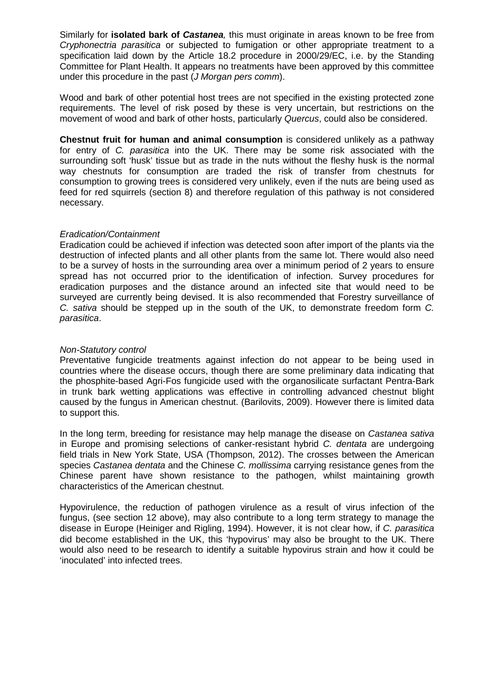Similarly for **isolated bark of** *Castanea,* this must originate in areas known to be free from *Cryphonectria parasitica* or subjected to fumigation or other appropriate treatment to a specification laid down by the Article 18.2 procedure in 2000/29/EC, i.e. by the Standing Committee for Plant Health. It appears no treatments have been approved by this committee under this procedure in the past (*J Morgan pers comm*).

Wood and bark of other potential host trees are not specified in the existing protected zone requirements. The level of risk posed by these is very uncertain, but restrictions on the movement of wood and bark of other hosts, particularly *Quercus*, could also be considered.

**Chestnut fruit for human and animal consumption** is considered unlikely as a pathway for entry of *C. parasitica* into the UK. There may be some risk associated with the surrounding soft 'husk' tissue but as trade in the nuts without the fleshy husk is the normal way chestnuts for consumption are traded the risk of transfer from chestnuts for consumption to growing trees is considered very unlikely, even if the nuts are being used as feed for red squirrels (section 8) and therefore regulation of this pathway is not considered necessary.

#### *Eradication/Containment*

Eradication could be achieved if infection was detected soon after import of the plants via the destruction of infected plants and all other plants from the same lot. There would also need to be a survey of hosts in the surrounding area over a minimum period of 2 years to ensure spread has not occurred prior to the identification of infection. Survey procedures for eradication purposes and the distance around an infected site that would need to be surveyed are currently being devised. It is also recommended that Forestry surveillance of *C. sativa* should be stepped up in the south of the UK, to demonstrate freedom form *C. parasitica*.

#### *Non-Statutory control*

Preventative fungicide treatments against infection do not appear to be being used in countries where the disease occurs, though there are some preliminary data indicating that the phosphite-based Agri-Fos fungicide used with the organosilicate surfactant Pentra-Bark in trunk bark wetting applications was effective in controlling advanced chestnut blight caused by the fungus in American chestnut. (Barilovits, 2009). However there is limited data to support this.

In the long term, breeding for resistance may help manage the disease on *Castanea sativa* in Europe and promising selections of canker-resistant hybrid *C. dentata* are undergoing field trials in New York State, USA (Thompson, 2012). The crosses between the American species *Castanea dentata* and the Chinese *C. mollissima* carrying resistance genes from the Chinese parent have shown resistance to the pathogen, whilst maintaining growth characteristics of the American chestnut.

Hypovirulence, the reduction of pathogen virulence as a result of virus infection of the fungus, (see section 12 above), may also contribute to a long term strategy to manage the disease in Europe (Heiniger and Rigling, 1994). However, it is not clear how, if *C. parasitica*  did become established in the UK, this 'hypovirus' may also be brought to the UK. There would also need to be research to identify a suitable hypovirus strain and how it could be 'inoculated' into infected trees.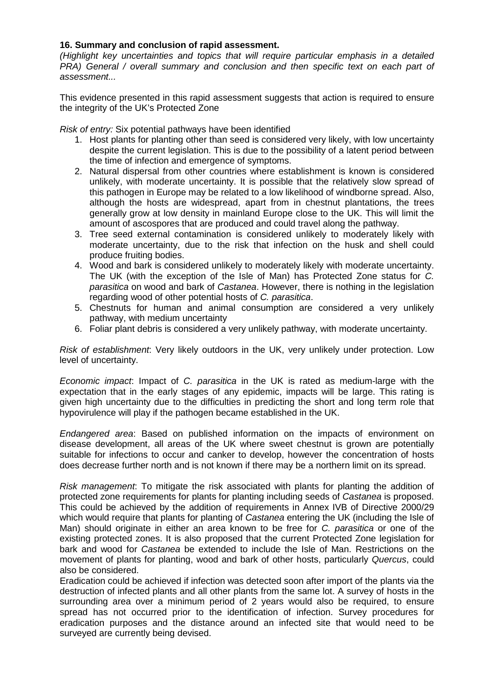#### **16. Summary and conclusion of rapid assessment.**

*(Highlight key uncertainties and topics that will require particular emphasis in a detailed PRA)* General / overall summary and conclusion and then specific text on each part of *assessment...*

This evidence presented in this rapid assessment suggests that action is required to ensure the integrity of the UK's Protected Zone

*Risk of entry:* Six potential pathways have been identified

- 1. Host plants for planting other than seed is considered very likely, with low uncertainty despite the current legislation. This is due to the possibility of a latent period between the time of infection and emergence of symptoms.
- 2. Natural dispersal from other countries where establishment is known is considered unlikely, with moderate uncertainty. It is possible that the relatively slow spread of this pathogen in Europe may be related to a low likelihood of windborne spread. Also, although the hosts are widespread, apart from in chestnut plantations, the trees generally grow at low density in mainland Europe close to the UK. This will limit the amount of ascospores that are produced and could travel along the pathway.
- 3. Tree seed external contamination is considered unlikely to moderately likely with moderate uncertainty, due to the risk that infection on the husk and shell could produce fruiting bodies.
- 4. Wood and bark is considered unlikely to moderately likely with moderate uncertainty. The UK (with the exception of the Isle of Man) has Protected Zone status for *C. parasitica* on wood and bark of *Castanea*. However, there is nothing in the legislation regarding wood of other potential hosts of *C. parasitica*.
- 5. Chestnuts for human and animal consumption are considered a very unlikely pathway, with medium uncertainty
- 6. Foliar plant debris is considered a very unlikely pathway, with moderate uncertainty.

*Risk of establishment*: Very likely outdoors in the UK, very unlikely under protection. Low level of uncertainty.

*Economic impact*: Impact of *C. parasitica* in the UK is rated as medium-large with the expectation that in the early stages of any epidemic, impacts will be large. This rating is given high uncertainty due to the difficulties in predicting the short and long term role that hypovirulence will play if the pathogen became established in the UK.

*Endangered area*: Based on published information on the impacts of environment on disease development, all areas of the UK where sweet chestnut is grown are potentially suitable for infections to occur and canker to develop, however the concentration of hosts does decrease further north and is not known if there may be a northern limit on its spread.

*Risk management*: To mitigate the risk associated with plants for planting the addition of protected zone requirements for plants for planting including seeds of *Castanea* is proposed. This could be achieved by the addition of requirements in Annex IVB of Directive 2000/29 which would require that plants for planting of *Castanea* entering the UK (including the Isle of Man) should originate in either an area known to be free for *C. parasitica* or one of the existing protected zones. It is also proposed that the current Protected Zone legislation for bark and wood for *Castanea* be extended to include the Isle of Man. Restrictions on the movement of plants for planting, wood and bark of other hosts, particularly *Quercus*, could also be considered.

Eradication could be achieved if infection was detected soon after import of the plants via the destruction of infected plants and all other plants from the same lot. A survey of hosts in the surrounding area over a minimum period of 2 years would also be required, to ensure spread has not occurred prior to the identification of infection. Survey procedures for eradication purposes and the distance around an infected site that would need to be surveyed are currently being devised.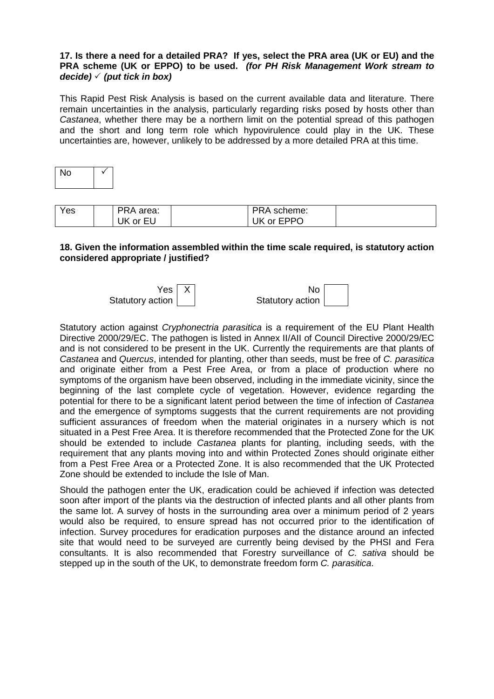#### **17. Is there a need for a detailed PRA? If yes, select the PRA area (UK or EU) and the PRA scheme (UK or EPPO) to be used.** *(for PH Risk Management Work stream to decide) (put tick in box)*

This Rapid Pest Risk Analysis is based on the current available data and literature. There remain uncertainties in the analysis, particularly regarding risks posed by hosts other than *Castanea*, whether there may be a northern limit on the potential spread of this pathogen and the short and long term role which hypovirulence could play in the UK. These uncertainties are, however, unlikely to be addressed by a more detailed PRA at this time.

| г |  |
|---|--|
|   |  |

| Yes | PRA area:     | <b>PRA</b><br>scheme: |  |
|-----|---------------|-----------------------|--|
|     | UK<br>´ or EU | or EPPO<br><b>UK</b>  |  |

#### **18. Given the information assembled within the time scale required, is statutory action considered appropriate / justified?**



Statutory action against *Cryphonectria parasitica* is a requirement of the EU Plant Health Directive 2000/29/EC. The pathogen is listed in Annex II/AII of Council Directive 2000/29/EC and is not considered to be present in the UK. Currently the requirements are that plants of *Castanea* and *Quercus*, intended for planting, other than seeds, must be free of *C. parasitica* and originate either from a Pest Free Area, or from a place of production where no symptoms of the organism have been observed, including in the immediate vicinity, since the beginning of the last complete cycle of vegetation. However, evidence regarding the potential for there to be a significant latent period between the time of infection of *Castanea* and the emergence of symptoms suggests that the current requirements are not providing sufficient assurances of freedom when the material originates in a nursery which is not situated in a Pest Free Area. It is therefore recommended that the Protected Zone for the UK should be extended to include *Castanea* plants for planting, including seeds, with the requirement that any plants moving into and within Protected Zones should originate either from a Pest Free Area or a Protected Zone. It is also recommended that the UK Protected Zone should be extended to include the Isle of Man.

Should the pathogen enter the UK, eradication could be achieved if infection was detected soon after import of the plants via the destruction of infected plants and all other plants from the same lot. A survey of hosts in the surrounding area over a minimum period of 2 years would also be required, to ensure spread has not occurred prior to the identification of infection. Survey procedures for eradication purposes and the distance around an infected site that would need to be surveyed are currently being devised by the PHSI and Fera consultants. It is also recommended that Forestry surveillance of *C. sativa* should be stepped up in the south of the UK, to demonstrate freedom form *C. parasitica*.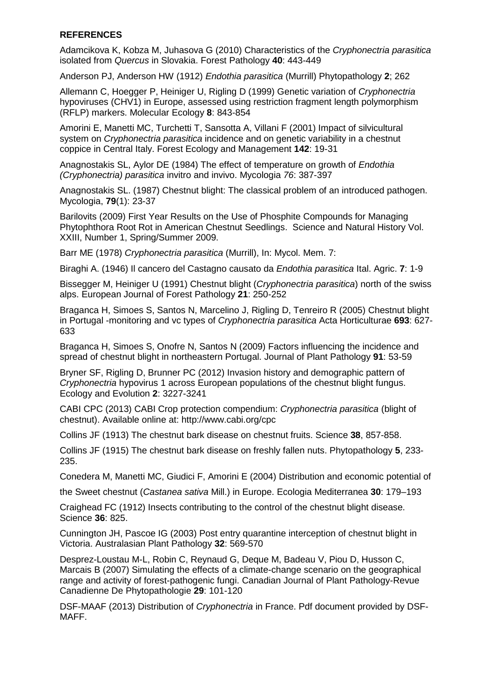## **REFERENCES**

Adamcikova K, Kobza M, Juhasova G (2010) Characteristics of the *Cryphonectria parasitica* isolated from *Quercus* in Slovakia. Forest Pathology **40**: 443-449

Anderson PJ, Anderson HW (1912) *Endothia parasitica* (Murrill) Phytopathology **2**; 262

Allemann C, Hoegger P, Heiniger U, Rigling D (1999) Genetic variation of *Cryphonectria*  hypoviruses (CHV1) in Europe, assessed using restriction fragment length polymorphism (RFLP) markers. Molecular Ecology **8**: 843-854

Amorini E, Manetti MC, Turchetti T, Sansotta A, Villani F (2001) Impact of silvicultural system on *Cryphonectria parasitica* incidence and on genetic variability in a chestnut coppice in Central Italy. Forest Ecology and Management **142**: 19-31

Anagnostakis SL, Aylor DE (1984) The effect of temperature on growth of *Endothia (Cryphonectria) parasitica* invitro and invivo. Mycologia *76*: 387-397

Anagnostakis SL. (1987) Chestnut blight: The classical problem of an introduced pathogen. Mycologia, **79**(1): 23-37

Barilovits (2009) First Year Results on the Use of Phosphite Compounds for Managing Phytophthora Root Rot in American Chestnut Seedlings. Science and Natural History Vol. XXIII, Number 1, Spring/Summer 2009.

Barr ME (1978) *Cryphonectria parasitica* (Murrill), In: Mycol. Mem. 7:

Biraghi A. (1946) Il cancero del Castagno causato da *Endothia parasitica* Ital. Agric. **7**: 1-9

Bissegger M, Heiniger U (1991) Chestnut blight (*Cryphonectria parasitica*) north of the swiss alps. European Journal of Forest Pathology **21**: 250-252

Braganca H, Simoes S, Santos N, Marcelino J, Rigling D, Tenreiro R (2005) Chestnut blight in Portugal -monitoring and vc types of *Cryphonectria parasitica* Acta Horticulturae **693**: 627- 633

Braganca H, Simoes S, Onofre N, Santos N (2009) Factors influencing the incidence and spread of chestnut blight in northeastern Portugal. Journal of Plant Pathology **91**: 53-59

Bryner SF, Rigling D, Brunner PC (2012) Invasion history and demographic pattern of *Cryphonectria* hypovirus 1 across European populations of the chestnut blight fungus. Ecology and Evolution **2**: 3227-3241

CABI CPC (2013) CABI Crop protection compendium: *Cryphonectria parasitica* (blight of chestnut). Available online at: http://www.cabi.org/cpc

Collins JF (1913) The chestnut bark disease on chestnut fruits. Science **38**, 857-858.

Collins JF (1915) The chestnut bark disease on freshly fallen nuts. Phytopathology **5**, 233- 235.

Conedera M, Manetti MC, Giudici F, Amorini E (2004) Distribution and economic potential of

the Sweet chestnut (*Castanea sativa* Mill.) in Europe. Ecologia Mediterranea **30**: 179–193

Craighead FC (1912) Insects contributing to the control of the chestnut blight disease. Science **36**: 825.

Cunnington JH, Pascoe IG (2003) Post entry quarantine interception of chestnut blight in Victoria. Australasian Plant Pathology **32**: 569-570

Desprez-Loustau M-L, Robin C, Reynaud G, Deque M, Badeau V, Piou D, Husson C, Marcais B (2007) Simulating the effects of a climate-change scenario on the geographical range and activity of forest-pathogenic fungi. Canadian Journal of Plant Pathology-Revue Canadienne De Phytopathologie **29**: 101-120

DSF-MAAF (2013) Distribution of *Cryphonectria* in France. Pdf document provided by DSF-MAFF.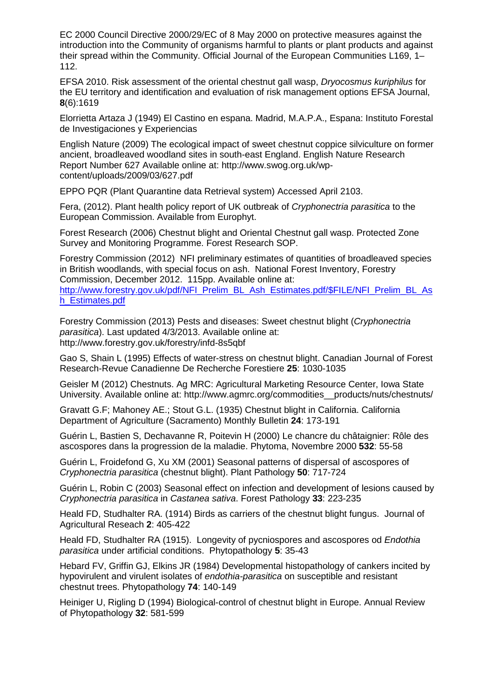EC 2000 Council Directive 2000/29/EC of 8 May 2000 on protective measures against the introduction into the Community of organisms harmful to plants or plant products and against their spread within the Community. Official Journal of the European Communities L169, 1– 112.

EFSA 2010. Risk assessment of the oriental chestnut gall wasp, *Dryocosmus kuriphilus* for the EU territory and identification and evaluation of risk management options EFSA Journal, **8**(6):1619

Elorrietta Artaza J (1949) El Castino en espana. Madrid, M.A.P.A., Espana: Instituto Forestal de Investigaciones y Experiencias

English Nature (2009) The ecological impact of sweet chestnut coppice silviculture on former ancient, broadleaved woodland sites in south-east England. English Nature Research Report Number 627 Available online at: http://www.swog.org.uk/wpcontent/uploads/2009/03/627.pdf

EPPO PQR (Plant Quarantine data Retrieval system) Accessed April 2103.

Fera, (2012). Plant health policy report of UK outbreak of *Cryphonectria parasitica* to the European Commission. Available from Europhyt.

Forest Research (2006) Chestnut blight and Oriental Chestnut gall wasp. Protected Zone Survey and Monitoring Programme. Forest Research SOP.

Forestry Commission (2012) NFI preliminary estimates of quantities of broadleaved species in British woodlands, with special focus on ash. National Forest Inventory, Forestry Commission, December 2012. 115pp. Available online at:

[http://www.forestry.gov.uk/pdf/NFI\\_Prelim\\_BL\\_Ash\\_Estimates.pdf/\\$FILE/NFI\\_Prelim\\_BL\\_As](http://www.forestry.gov.uk/pdf/NFI_Prelim_BL_Ash_Estimates.pdf/$FILE/NFI_Prelim_BL_Ash_Estimates.pdf) [h\\_Estimates.pdf](http://www.forestry.gov.uk/pdf/NFI_Prelim_BL_Ash_Estimates.pdf/$FILE/NFI_Prelim_BL_Ash_Estimates.pdf)

Forestry Commission (2013) Pests and diseases: Sweet chestnut blight (*Cryphonectria parasitica*). Last updated 4/3/2013. Available online at: http://www.forestry.gov.uk/forestry/infd-8s5qbf

Gao S, Shain L (1995) Effects of water-stress on chestnut blight. Canadian Journal of Forest Research-Revue Canadienne De Recherche Forestiere **25**: 1030-1035

Geisler M (2012) Chestnuts. Ag MRC: Agricultural Marketing Resource Center, Iowa State University. Available online at: http://www.agmrc.org/commodities\_\_products/nuts/chestnuts/

Gravatt G.F; Mahoney AE.; Stout G.L. (1935) Chestnut blight in California. California Department of Agriculture (Sacramento) Monthly Bulletin **24**: 173-191

Guérin L, Bastien S, Dechavanne R, Poitevin H (2000) Le chancre du châtaignier: Rôle des ascospores dans la progression de la maladie. Phytoma, Novembre 2000 **532**: 55-58

Guérin L, Froidefond G, Xu XM (2001) Seasonal patterns of dispersal of ascospores of *Cryphonectria parasitica* (chestnut blight). Plant Pathology **50**: 717-724

Guérin L, Robin C (2003) Seasonal effect on infection and development of lesions caused by *Cryphonectria parasitica* in *Castanea sativa*. Forest Pathology **33**: 223-235

Heald FD, Studhalter RA. (1914) Birds as carriers of the chestnut blight fungus. Journal of Agricultural Reseach **2**: 405-422

Heald FD, Studhalter RA (1915). Longevity of pycniospores and ascospores od *Endothia parasitica* under artificial conditions. Phytopathology **5**: 35-43

Hebard FV, Griffin GJ, Elkins JR (1984) Developmental histopathology of cankers incited by hypovirulent and virulent isolates of *endothia-parasitica* on susceptible and resistant chestnut trees. Phytopathology **74**: 140-149

Heiniger U, Rigling D (1994) Biological-control of chestnut blight in Europe. Annual Review of Phytopathology **32**: 581-599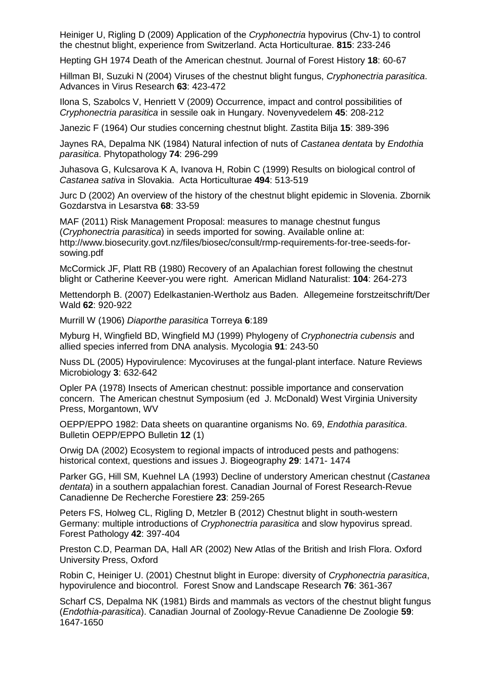Heiniger U, Rigling D (2009) Application of the *Cryphonectria* hypovirus (Chv-1) to control the chestnut blight, experience from Switzerland. Acta Horticulturae. **815**: 233-246

Hepting GH 1974 Death of the American chestnut. Journal of Forest History **18**: 60-67

Hillman BI, Suzuki N (2004) Viruses of the chestnut blight fungus, *Cryphonectria parasitica*. Advances in Virus Research **63**: 423-472

Ilona S, Szabolcs V, Henriett V (2009) Occurrence, impact and control possibilities of *Cryphonectria parasitica* in sessile oak in Hungary. Novenyvedelem **45**: 208-212

Janezic F (1964) Our studies concerning chestnut blight. Zastita Bilja **15**: 389-396

Jaynes RA, Depalma NK (1984) Natural infection of nuts of *Castanea dentata* by *Endothia parasitica*. Phytopathology **74**: 296-299

Juhasova G, Kulcsarova K A, Ivanova H, Robin C (1999) Results on biological control of *Castanea sativa* in Slovakia. Acta Horticulturae **494**: 513-519

Jurc D (2002) An overview of the history of the chestnut blight epidemic in Slovenia. Zbornik Gozdarstva in Lesarstva **68**: 33-59

MAF (2011) Risk Management Proposal: measures to manage chestnut fungus (*Cryphonectria parasitica*) in seeds imported for sowing. Available online at: http://www.biosecurity.govt.nz/files/biosec/consult/rmp-requirements-for-tree-seeds-forsowing.pdf

McCormick JF, Platt RB (1980) Recovery of an Apalachian forest following the chestnut blight or Catherine Keever-you were right. American Midland Naturalist: **104**: 264-273

Mettendorph B. (2007) Edelkastanien-Wertholz aus Baden. Allegemeine forstzeitschrift/Der Wald **62**: 920-922

Murrill W (1906) *Diaporthe parasitica* Torreya **6**:189

Myburg H, Wingfield BD, Wingfield MJ (1999) Phylogeny of *Cryphonectria cubensis* and allied species inferred from DNA analysis. Mycologia **91**: 243-50

Nuss DL (2005) Hypovirulence: Mycoviruses at the fungal-plant interface. Nature Reviews Microbiology **3**: 632-642

Opler PA (1978) Insects of American chestnut: possible importance and conservation concern. The American chestnut Symposium (ed J. McDonald) West Virginia University Press, Morgantown, WV

OEPP/EPPO 1982: Data sheets on quarantine organisms No. 69, *Endothia parasitica*. Bulletin OEPP/EPPO Bulletin **12** (1)

Orwig DA (2002) Ecosystem to regional impacts of introduced pests and pathogens: historical context, questions and issues J. Biogeography **29**: 1471- 1474

Parker GG, Hill SM, Kuehnel LA (1993) Decline of understory American chestnut (*Castanea dentata*) in a southern appalachian forest. Canadian Journal of Forest Research-Revue Canadienne De Recherche Forestiere **23**: 259-265

Peters FS, Holweg CL, Rigling D, Metzler B (2012) Chestnut blight in south-western Germany: multiple introductions of *Cryphonectria parasitica* and slow hypovirus spread. Forest Pathology **42**: 397-404

Preston C.D, Pearman DA, Hall AR (2002) New Atlas of the British and Irish Flora. Oxford University Press, Oxford

Robin C, Heiniger U. (2001) Chestnut blight in Europe: diversity of *Cryphonectria parasitica*, hypovirulence and biocontrol. Forest Snow and Landscape Research **76**: 361-367

Scharf CS, Depalma NK (1981) Birds and mammals as vectors of the chestnut blight fungus (*Endothia-parasitica*). Canadian Journal of Zoology-Revue Canadienne De Zoologie **59**: 1647-1650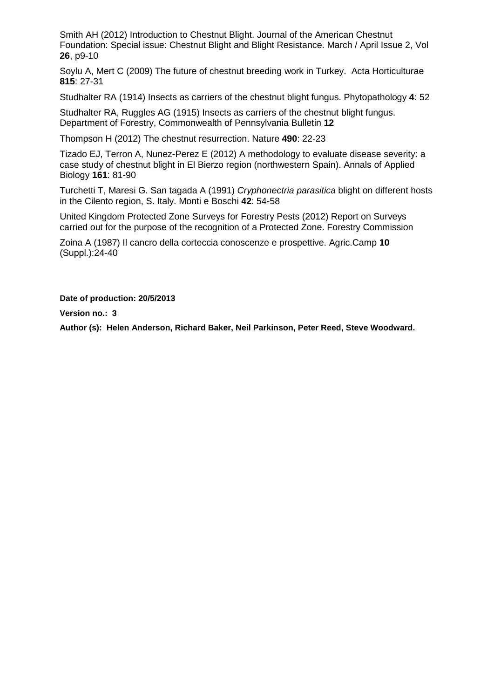Smith AH (2012) Introduction to Chestnut Blight. Journal of the American Chestnut Foundation: Special issue: Chestnut Blight and Blight Resistance. March / April Issue 2, Vol **26**, p9-10

Soylu A, Mert C (2009) The future of chestnut breeding work in Turkey. Acta Horticulturae **815**: 27-31

Studhalter RA (1914) Insects as carriers of the chestnut blight fungus. Phytopathology **4**: 52

Studhalter RA, Ruggles AG (1915) Insects as carriers of the chestnut blight fungus. Department of Forestry, Commonwealth of Pennsylvania Bulletin **12**

Thompson H (2012) The chestnut resurrection. Nature **490**: 22-23

Tizado EJ, Terron A, Nunez-Perez E (2012) A methodology to evaluate disease severity: a case study of chestnut blight in El Bierzo region (northwestern Spain). Annals of Applied Biology **161**: 81-90

Turchetti T, Maresi G. San tagada A (1991) *Cryphonectria parasitica* blight on different hosts in the Cilento region, S. Italy. Monti e Boschi **42**: 54-58

United Kingdom Protected Zone Surveys for Forestry Pests (2012) Report on Surveys carried out for the purpose of the recognition of a Protected Zone. Forestry Commission

Zoina A (1987) Il cancro della corteccia conoscenze e prospettive. Agric.Camp **10** (Suppl.):24-40

**Date of production: 20/5/2013**

**Version no.: 3**

**Author (s): Helen Anderson, Richard Baker, Neil Parkinson, Peter Reed, Steve Woodward.**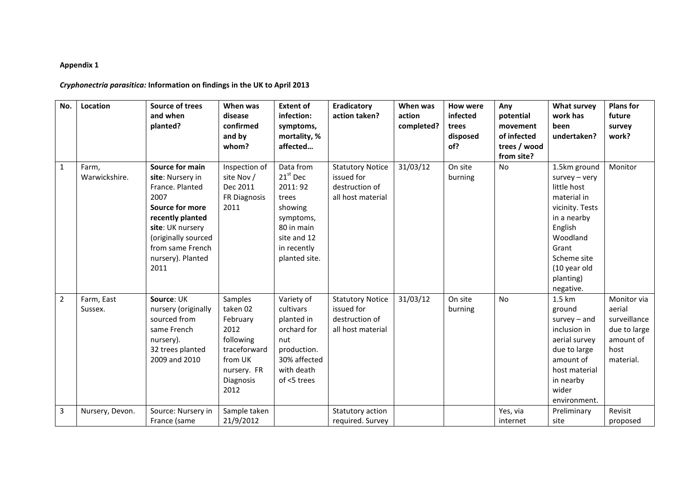#### **Appendix 1**

## *Cryphonectria parasitica:* **Information on findings in the UK to April 2013**

| No.            | Location               | <b>Source of trees</b><br>and when<br>planted?                                                                                                                                                    | When was<br>disease<br>confirmed<br>and by<br>whom?                                                                 | <b>Extent of</b><br>infection:<br>symptoms,<br>mortality, %<br>affected                                                           | <b>Eradicatory</b><br>action taken?                                          | When was<br>action<br>completed? | <b>How were</b><br>infected<br>trees<br>disposed<br>of? | Any<br>potential<br>movement<br>of infected<br>trees / wood<br>from site? | <b>What survey</b><br>work has<br>been<br>undertaken?                                                                                                                                     | <b>Plans for</b><br>future<br>survey<br>work?                                           |
|----------------|------------------------|---------------------------------------------------------------------------------------------------------------------------------------------------------------------------------------------------|---------------------------------------------------------------------------------------------------------------------|-----------------------------------------------------------------------------------------------------------------------------------|------------------------------------------------------------------------------|----------------------------------|---------------------------------------------------------|---------------------------------------------------------------------------|-------------------------------------------------------------------------------------------------------------------------------------------------------------------------------------------|-----------------------------------------------------------------------------------------|
| $\mathbf{1}$   | Farm,<br>Warwickshire. | Source for main<br>site: Nursery in<br>France, Planted<br>2007<br>Source for more<br>recently planted<br>site: UK nursery<br>(originally sourced<br>from same French<br>nursery). Planted<br>2011 | Inspection of<br>site Nov /<br>Dec 2011<br>FR Diagnosis<br>2011                                                     | Data from<br>$21st$ Dec<br>2011: 92<br>trees<br>showing<br>symptoms,<br>80 in main<br>site and 12<br>in recently<br>planted site. | <b>Statutory Notice</b><br>issued for<br>destruction of<br>all host material | 31/03/12                         | On site<br>burning                                      | No                                                                        | 1.5km ground<br>$s$ urvey – very<br>little host<br>material in<br>vicinity. Tests<br>in a nearby<br>English<br>Woodland<br>Grant<br>Scheme site<br>(10 year old<br>planting)<br>negative. | Monitor                                                                                 |
| $\overline{2}$ | Farm, East<br>Sussex.  | Source: UK<br>nursery (originally<br>sourced from<br>same French<br>nursery).<br>32 trees planted<br>2009 and 2010                                                                                | Samples<br>taken 02<br>February<br>2012<br>following<br>traceforward<br>from UK<br>nursery. FR<br>Diagnosis<br>2012 | Variety of<br>cultivars<br>planted in<br>orchard for<br>nut<br>production.<br>30% affected<br>with death<br>of <5 trees           | <b>Statutory Notice</b><br>issued for<br>destruction of<br>all host material | 31/03/12                         | On site<br>burning                                      | No                                                                        | 1.5 km<br>ground<br>$survey - and$<br>inclusion in<br>aerial survey<br>due to large<br>amount of<br>host material<br>in nearby<br>wider<br>environment.                                   | Monitor via<br>aerial<br>surveillance<br>due to large<br>amount of<br>host<br>material. |
| 3              | Nursery, Devon.        | Source: Nursery in<br>France (same                                                                                                                                                                | Sample taken<br>21/9/2012                                                                                           |                                                                                                                                   | Statutory action<br>required. Survey                                         |                                  |                                                         | Yes, via<br>internet                                                      | Preliminary<br>site                                                                                                                                                                       | Revisit<br>proposed                                                                     |